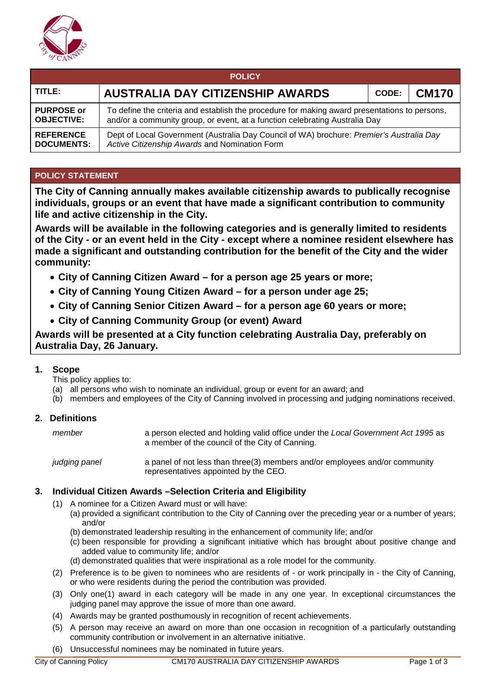

| <b>POLICY</b>     |                                                                                               |  |  |  |  |  |
|-------------------|-----------------------------------------------------------------------------------------------|--|--|--|--|--|
| TITLE:            | <b>AUSTRALIA DAY CITIZENSHIP AWARDS</b><br><b>CM170</b><br>CODE:                              |  |  |  |  |  |
| <b>PURPOSE or</b> | To define the criteria and establish the procedure for making award presentations to persons, |  |  |  |  |  |
| <b>OBJECTIVE:</b> | and/or a community group, or event, at a function celebrating Australia Day                   |  |  |  |  |  |
| <b>REFERENCE</b>  | Dept of Local Government (Australia Day Council of WA) brochure: Premier's Australia Day      |  |  |  |  |  |
| <b>DOCUMENTS:</b> | Active Citizenship Awards and Nomination Form                                                 |  |  |  |  |  |

# **POLICY STATEMENT**

**The City of Canning annually makes available citizenship awards to publically recognise individuals, groups or an event that have made a significant contribution to community life and active citizenship in the City.**

**Awards will be available in the following categories and is generally limited to residents of the City - or an event held in the City - except where a nominee resident elsewhere has made a significant and outstanding contribution for the benefit of the City and the wider community:**

- **City of Canning Citizen Award – for a person age 25 years or more;**
- **City of Canning Young Citizen Award – for a person under age 25;**
- **City of Canning Senior Citizen Award – for a person age 60 years or more;**
- **City of Canning Community Group (or event) Award**

**Awards will be presented at a City function celebrating Australia Day, preferably on Australia Day, 26 January.**

### **1. Scope**

This policy applies to:

- (a) all persons who wish to nominate an individual, group or event for an award; and
- (b) members and employees of the City of Canning involved in processing and judging nominations received.

### **2. Definitions**

| member        | a person elected and holding valid office under the Local Government Act 1995 as<br>a member of the council of the City of Canning. |
|---------------|-------------------------------------------------------------------------------------------------------------------------------------|
| judging panel | a panel of not less than three(3) members and/or employees and/or community<br>representatives appointed by the CEO.                |

### **3. Individual Citizen Awards –Selection Criteria and Eligibility**

- (1) A nominee for a Citizen Award must or will have:
	- (a) provided a significant contribution to the City of Canning over the preceding year or a number of years; and/or
		- (b) demonstrated leadership resulting in the enhancement of community life; and/or
	- (c) been responsible for providing a significant initiative which has brought about positive change and added value to community life; and/or
	- (d) demonstrated qualities that were inspirational as a role model for the community.
- (2) Preference is to be given to nominees who are residents of or work principally in the City of Canning, or who were residents during the period the contribution was provided.
- (3) Only one(1) award in each category will be made in any one year. In exceptional circumstances the judging panel may approve the issue of more than one award.
- (4) Awards may be granted posthumously in recognition of recent achievements.
- (5) A person may receive an award on more than one occasion in recognition of a particularly outstanding community contribution or involvement in an alternative initiative.
- (6) Unsuccessful nominees may be nominated in future years.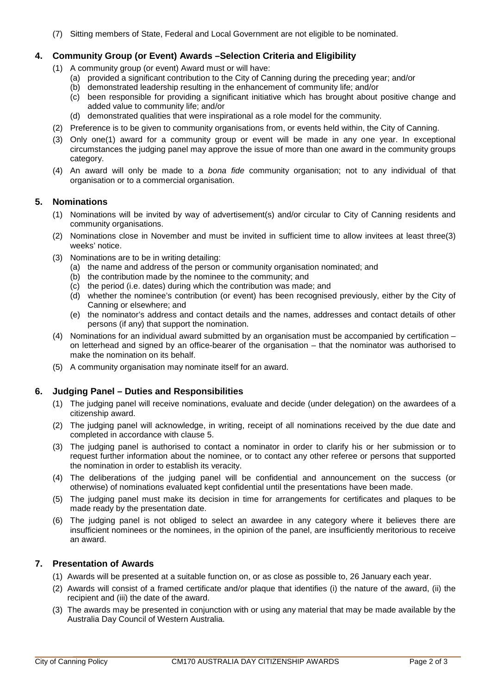(7) Sitting members of State, Federal and Local Government are not eligible to be nominated.

### **4. Community Group (or Event) Awards –Selection Criteria and Eligibility**

- (1) A community group (or event) Award must or will have:
	- (a) provided a significant contribution to the City of Canning during the preceding year; and/or
	- (b) demonstrated leadership resulting in the enhancement of community life; and/or
	- $\overrightarrow{c}$  been responsible for providing a significant initiative which has brought about positive change and added value to community life; and/or
	- (d) demonstrated qualities that were inspirational as a role model for the community.
- (2) Preference is to be given to community organisations from, or events held within, the City of Canning.
- (3) Only one(1) award for a community group or event will be made in any one year. In exceptional circumstances the judging panel may approve the issue of more than one award in the community groups category.
- (4) An award will only be made to a *bona fide* community organisation; not to any individual of that organisation or to a commercial organisation.

### **5. Nominations**

- (1) Nominations will be invited by way of advertisement(s) and/or circular to City of Canning residents and community organisations.
- (2) Nominations close in November and must be invited in sufficient time to allow invitees at least three(3) weeks' notice.
- (3) Nominations are to be in writing detailing:
	- (a) the name and address of the person or community organisation nominated; and
	- (b) the contribution made by the nominee to the community; and
	- (c) the period (i.e. dates) during which the contribution was made; and
	- (d) whether the nominee's contribution (or event) has been recognised previously, either by the City of Canning or elsewhere; and
	- (e) the nominator's address and contact details and the names, addresses and contact details of other persons (if any) that support the nomination.
- (4) Nominations for an individual award submitted by an organisation must be accompanied by certification on letterhead and signed by an office-bearer of the organisation – that the nominator was authorised to make the nomination on its behalf.
- (5) A community organisation may nominate itself for an award.

### **6. Judging Panel – Duties and Responsibilities**

- (1) The judging panel will receive nominations, evaluate and decide (under delegation) on the awardees of a citizenship award.
- (2) The judging panel will acknowledge, in writing, receipt of all nominations received by the due date and completed in accordance with clause 5.
- (3) The judging panel is authorised to contact a nominator in order to clarify his or her submission or to request further information about the nominee, or to contact any other referee or persons that supported the nomination in order to establish its veracity.
- (4) The deliberations of the judging panel will be confidential and announcement on the success (or otherwise) of nominations evaluated kept confidential until the presentations have been made.
- (5) The judging panel must make its decision in time for arrangements for certificates and plaques to be made ready by the presentation date.
- (6) The judging panel is not obliged to select an awardee in any category where it believes there are insufficient nominees or the nominees, in the opinion of the panel, are insufficiently meritorious to receive an award.

### **7. Presentation of Awards**

- (1) Awards will be presented at a suitable function on, or as close as possible to, 26 January each year.
- (2) Awards will consist of a framed certificate and/or plaque that identifies (i) the nature of the award, (ii) the recipient and (iii) the date of the award.
- (3) The awards may be presented in conjunction with or using any material that may be made available by the Australia Day Council of Western Australia.